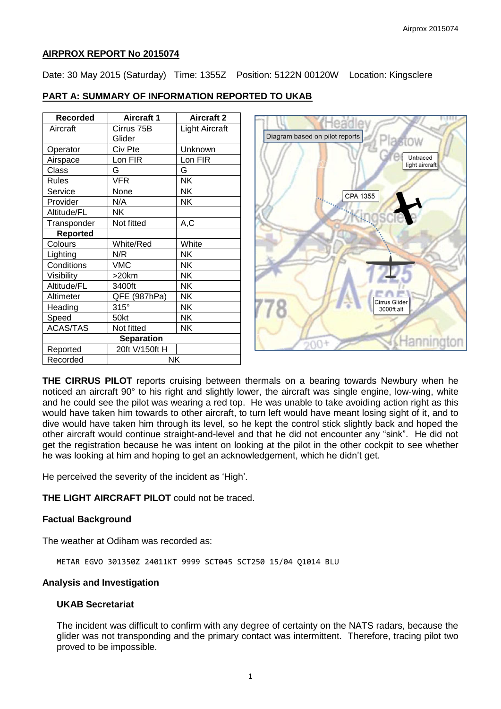## **AIRPROX REPORT No 2015074**

Date: 30 May 2015 (Saturday) Time: 1355Z Position: 5122N 00120W Location: Kingsclere

#### **PART A: SUMMARY OF INFORMATION REPORTED TO UKAB**

| <b>Recorded</b>   | <b>Aircraft 1</b> | <b>Aircraft 2</b>     |
|-------------------|-------------------|-----------------------|
| Aircraft          | Cirrus 75B        | <b>Light Aircraft</b> |
|                   | Glider            |                       |
| Operator          | Civ Pte           | Unknown               |
| Airspace          | Lon FIR           | Lon FIR               |
| Class             | G                 | G                     |
| <b>Rules</b>      | <b>VFR</b>        | <b>NK</b>             |
| Service           | None              | NΚ                    |
| Provider          | N/A               | NΚ                    |
| Altitude/FL       | NΚ                |                       |
| Transponder       | Not fitted        | A,C                   |
| <b>Reported</b>   |                   |                       |
| Colours           | White/Red         | White                 |
| Lighting          | N/R               | NΚ                    |
| Conditions        | VMC               | ΝK                    |
| Visibility        | $>20$ km          | NΚ                    |
| Altitude/FL       | 3400ft            | NΚ                    |
| Altimeter         | QFE (987hPa)      | NΚ                    |
| Heading           | $315^\circ$       | NΚ                    |
| Speed             | 50kt              | NΚ                    |
| <b>ACAS/TAS</b>   | Not fitted        | NΚ                    |
| <b>Separation</b> |                   |                       |
| Reported          | 20ft V/150ft H    |                       |
| Recorded          | NΚ                |                       |



**THE CIRRUS PILOT** reports cruising between thermals on a bearing towards Newbury when he noticed an aircraft 90° to his right and slightly lower, the aircraft was single engine, low-wing, white and he could see the pilot was wearing a red top. He was unable to take avoiding action right as this would have taken him towards to other aircraft, to turn left would have meant losing sight of it, and to dive would have taken him through its level, so he kept the control stick slightly back and hoped the other aircraft would continue straight-and-level and that he did not encounter any "sink". He did not get the registration because he was intent on looking at the pilot in the other cockpit to see whether he was looking at him and hoping to get an acknowledgement, which he didn't get.

He perceived the severity of the incident as 'High'.

**THE LIGHT AIRCRAFT PILOT** could not be traced.

### **Factual Background**

The weather at Odiham was recorded as:

METAR EGVO 301350Z 24011KT 9999 SCT045 SCT250 15/04 Q1014 BLU

#### **Analysis and Investigation**

## **UKAB Secretariat**

The incident was difficult to confirm with any degree of certainty on the NATS radars, because the glider was not transponding and the primary contact was intermittent. Therefore, tracing pilot two proved to be impossible.